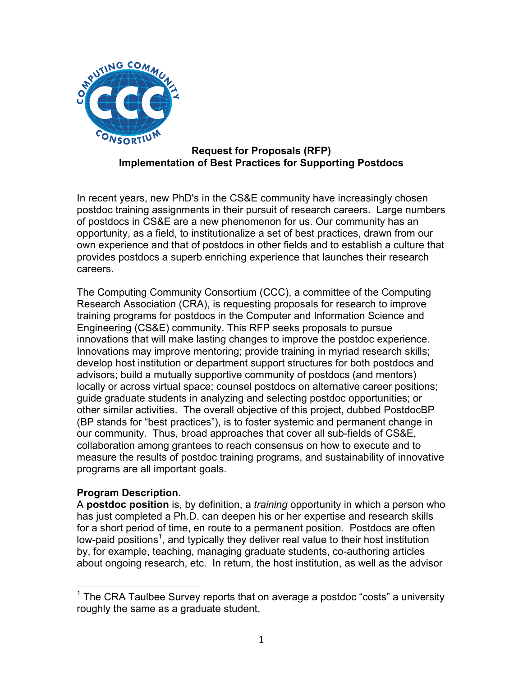

## **Request for Proposals (RFP) Implementation of Best Practices for Supporting Postdocs**

In recent years, new PhD's in the CS&E community have increasingly chosen postdoc training assignments in their pursuit of research careers. Large numbers of postdocs in CS&E are a new phenomenon for us. Our community has an opportunity, as a field, to institutionalize a set of best practices, drawn from our own experience and that of postdocs in other fields and to establish a culture that provides postdocs a superb enriching experience that launches their research careers.

The Computing Community Consortium (CCC), a committee of the Computing Research Association (CRA), is requesting proposals for research to improve training programs for postdocs in the Computer and Information Science and Engineering (CS&E) community. This RFP seeks proposals to pursue innovations that will make lasting changes to improve the postdoc experience. Innovations may improve mentoring; provide training in myriad research skills; develop host institution or department support structures for both postdocs and advisors; build a mutually supportive community of postdocs (and mentors) locally or across virtual space; counsel postdocs on alternative career positions; guide graduate students in analyzing and selecting postdoc opportunities; or other similar activities. The overall objective of this project, dubbed PostdocBP (BP stands for "best practices"), is to foster systemic and permanent change in our community. Thus, broad approaches that cover all sub-fields of CS&E, collaboration among grantees to reach consensus on how to execute and to measure the results of postdoc training programs, and sustainability of innovative programs are all important goals.

## **Program Description.**

A **postdoc position** is, by definition, a *training* opportunity in which a person who has just completed a Ph.D. can deepen his or her expertise and research skills for a short period of time, en route to a permanent position. Postdocs are often low-paid positions<sup>1</sup>, and typically they deliver real value to their host institution by, for example, teaching, managing graduate students, co-authoring articles about ongoing research, etc. In return, the host institution, as well as the advisor

 $1$  The CRA Taulbee Survey reports that on average a postdoc "costs" a university roughly the same as a graduate student.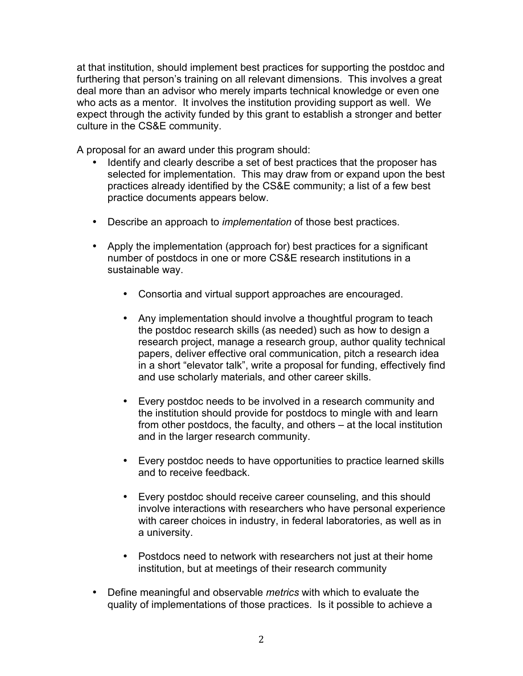at that institution, should implement best practices for supporting the postdoc and furthering that person's training on all relevant dimensions. This involves a great deal more than an advisor who merely imparts technical knowledge or even one who acts as a mentor. It involves the institution providing support as well. We expect through the activity funded by this grant to establish a stronger and better culture in the CS&E community.

A proposal for an award under this program should:

- Identify and clearly describe a set of best practices that the proposer has selected for implementation. This may draw from or expand upon the best practices already identified by the CS&E community; a list of a few best practice documents appears below.
- Describe an approach to *implementation* of those best practices.
- Apply the implementation (approach for) best practices for a significant number of postdocs in one or more CS&E research institutions in a sustainable way.
	- Consortia and virtual support approaches are encouraged.
	- Any implementation should involve a thoughtful program to teach the postdoc research skills (as needed) such as how to design a research project, manage a research group, author quality technical papers, deliver effective oral communication, pitch a research idea in a short "elevator talk", write a proposal for funding, effectively find and use scholarly materials, and other career skills.
	- Every postdoc needs to be involved in a research community and the institution should provide for postdocs to mingle with and learn from other postdocs, the faculty, and others – at the local institution and in the larger research community.
	- Every postdoc needs to have opportunities to practice learned skills and to receive feedback.
	- Every postdoc should receive career counseling, and this should involve interactions with researchers who have personal experience with career choices in industry, in federal laboratories, as well as in a university.
	- Postdocs need to network with researchers not just at their home institution, but at meetings of their research community
- Define meaningful and observable *metrics* with which to evaluate the quality of implementations of those practices. Is it possible to achieve a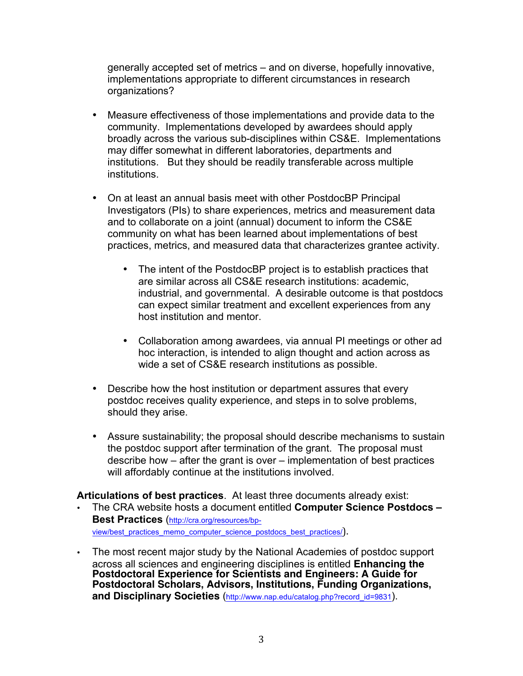generally accepted set of metrics – and on diverse, hopefully innovative, implementations appropriate to different circumstances in research organizations?

- Measure effectiveness of those implementations and provide data to the community. Implementations developed by awardees should apply broadly across the various sub-disciplines within CS&E. Implementations may differ somewhat in different laboratories, departments and institutions. But they should be readily transferable across multiple institutions.
- On at least an annual basis meet with other PostdocBP Principal Investigators (PIs) to share experiences, metrics and measurement data and to collaborate on a joint (annual) document to inform the CS&E community on what has been learned about implementations of best practices, metrics, and measured data that characterizes grantee activity.
	- The intent of the PostdocBP project is to establish practices that are similar across all CS&E research institutions: academic, industrial, and governmental. A desirable outcome is that postdocs can expect similar treatment and excellent experiences from any host institution and mentor.
	- Collaboration among awardees, via annual PI meetings or other ad hoc interaction, is intended to align thought and action across as wide a set of CS&E research institutions as possible.
- Describe how the host institution or department assures that every postdoc receives quality experience, and steps in to solve problems, should they arise.
- Assure sustainability; the proposal should describe mechanisms to sustain the postdoc support after termination of the grant. The proposal must describe how – after the grant is over – implementation of best practices will affordably continue at the institutions involved.

## **Articulations of best practices**. At least three documents already exist:

- The CRA website hosts a document entitled **Computer Science Postdocs – Best Practices** (http://cra.org/resources/bpview/best\_practices\_memo\_computer\_science\_postdocs\_best\_practices/).
- The most recent major study by the National Academies of postdoc support across all sciences and engineering disciplines is entitled **Enhancing the Postdoctoral Experience for Scientists and Engineers: A Guide for Postdoctoral Scholars, Advisors, Institutions, Funding Organizations, and Disciplinary Societies** (http://www.nap.edu/catalog.php?record\_id=9831).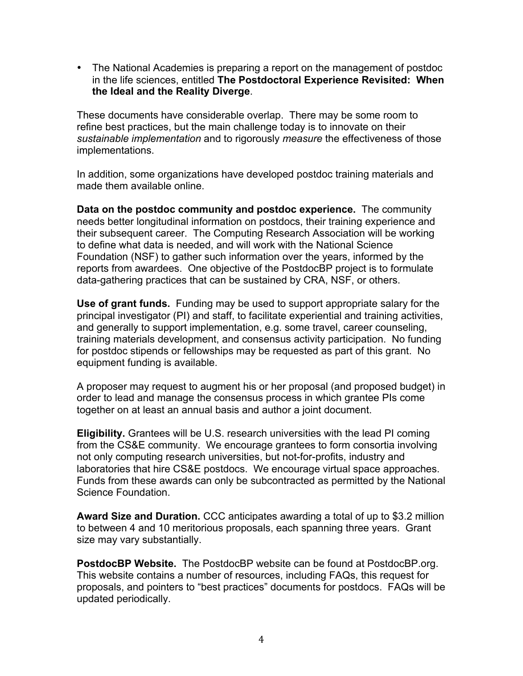• The National Academies is preparing a report on the management of postdoc in the life sciences, entitled **The Postdoctoral Experience Revisited: When the Ideal and the Reality Diverge**.

These documents have considerable overlap. There may be some room to refine best practices, but the main challenge today is to innovate on their *sustainable implementation* and to rigorously *measure* the effectiveness of those implementations.

In addition, some organizations have developed postdoc training materials and made them available online.

**Data on the postdoc community and postdoc experience.** The community needs better longitudinal information on postdocs, their training experience and their subsequent career. The Computing Research Association will be working to define what data is needed, and will work with the National Science Foundation (NSF) to gather such information over the years, informed by the reports from awardees. One objective of the PostdocBP project is to formulate data-gathering practices that can be sustained by CRA, NSF, or others.

**Use of grant funds.** Funding may be used to support appropriate salary for the principal investigator (PI) and staff, to facilitate experiential and training activities, and generally to support implementation, e.g. some travel, career counseling, training materials development, and consensus activity participation. No funding for postdoc stipends or fellowships may be requested as part of this grant. No equipment funding is available.

A proposer may request to augment his or her proposal (and proposed budget) in order to lead and manage the consensus process in which grantee PIs come together on at least an annual basis and author a joint document.

**Eligibility.** Grantees will be U.S. research universities with the lead PI coming from the CS&E community. We encourage grantees to form consortia involving not only computing research universities, but not-for-profits, industry and laboratories that hire CS&E postdocs. We encourage virtual space approaches. Funds from these awards can only be subcontracted as permitted by the National Science Foundation.

**Award Size and Duration.** CCC anticipates awarding a total of up to \$3.2 million to between 4 and 10 meritorious proposals, each spanning three years. Grant size may vary substantially.

**PostdocBP Website.** The PostdocBP website can be found at PostdocBP.org. This website contains a number of resources, including FAQs, this request for proposals, and pointers to "best practices" documents for postdocs. FAQs will be updated periodically.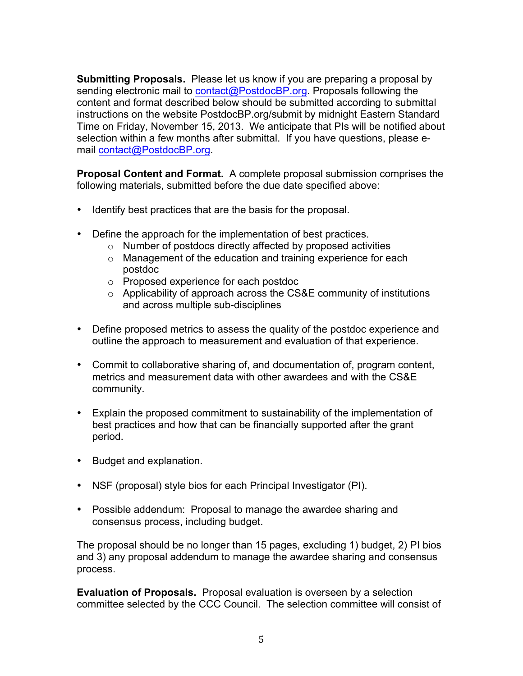**Submitting Proposals.** Please let us know if you are preparing a proposal by sending electronic mail to contact@PostdocBP.org. Proposals following the content and format described below should be submitted according to submittal instructions on the website PostdocBP.org/submit by midnight Eastern Standard Time on Friday, November 15, 2013. We anticipate that PIs will be notified about selection within a few months after submittal. If you have questions, please email contact@PostdocBP.org.

**Proposal Content and Format.** A complete proposal submission comprises the following materials, submitted before the due date specified above:

- Identify best practices that are the basis for the proposal.
- Define the approach for the implementation of best practices.
	- o Number of postdocs directly affected by proposed activities
	- o Management of the education and training experience for each postdoc
	- o Proposed experience for each postdoc
	- o Applicability of approach across the CS&E community of institutions and across multiple sub-disciplines
- Define proposed metrics to assess the quality of the postdoc experience and outline the approach to measurement and evaluation of that experience.
- Commit to collaborative sharing of, and documentation of, program content, metrics and measurement data with other awardees and with the CS&E community.
- Explain the proposed commitment to sustainability of the implementation of best practices and how that can be financially supported after the grant period.
- Budget and explanation.
- NSF (proposal) style bios for each Principal Investigator (PI).
- Possible addendum: Proposal to manage the awardee sharing and consensus process, including budget.

The proposal should be no longer than 15 pages, excluding 1) budget, 2) PI bios and 3) any proposal addendum to manage the awardee sharing and consensus process.

**Evaluation of Proposals.** Proposal evaluation is overseen by a selection committee selected by the CCC Council. The selection committee will consist of